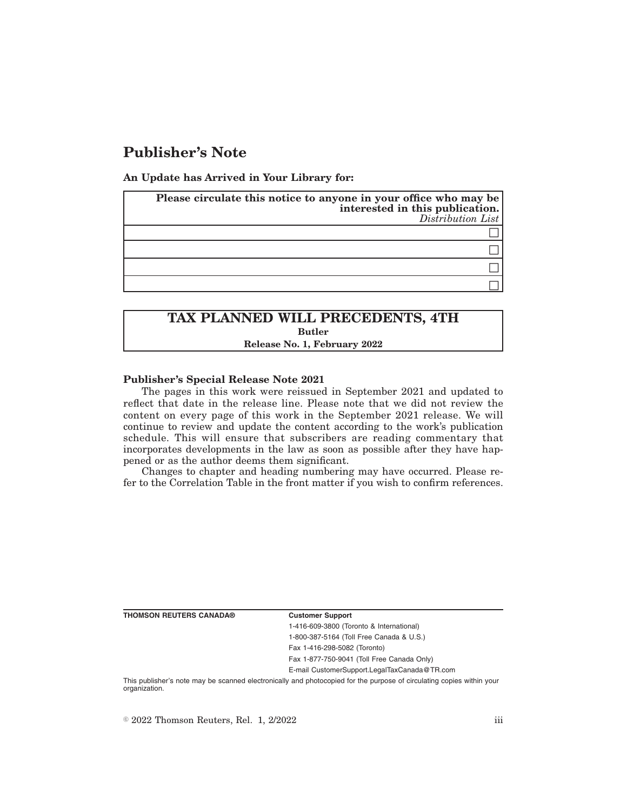# **Publisher's Note**

**An Update has Arrived in Your Library for:**

| Please circulate this notice to anyone in your office who may be<br>interested in this publication.<br>Distribution List |
|--------------------------------------------------------------------------------------------------------------------------|
|                                                                                                                          |
|                                                                                                                          |
|                                                                                                                          |
|                                                                                                                          |

# **TAX PLANNED WILL PRECEDENTS, 4TH Butler Release No. 1, February 2022**

### **Publisher's Special Release Note 2021**

The pages in this work were reissued in September 2021 and updated to reflect that date in the release line. Please note that we did not review the content on every page of this work in the September 2021 release. We will continue to review and update the content according to the work's publication schedule. This will ensure that subscribers are reading commentary that incorporates developments in the law as soon as possible after they have happened or as the author deems them significant.

Changes to chapter and heading numbering may have occurred. Please refer to the Correlation Table in the front matter if you wish to confirm references.

#### **Customer Support**

1-416-609-3800 (Toronto & International) 1-800-387-5164 (Toll Free Canada & U.S.)

Fax 1-416-298-5082 (Toronto)

Fax 1-877-750-9041 (Toll Free Canada Only)

E-mail CustomerSupport.LegalTaxCanada@TR.com

This publisher's note may be scanned electronically and photocopied for the purpose of circulating copies within your organization.

 $\degree$  2022 Thomson Reuters, Rel. 1, 2/2022 iii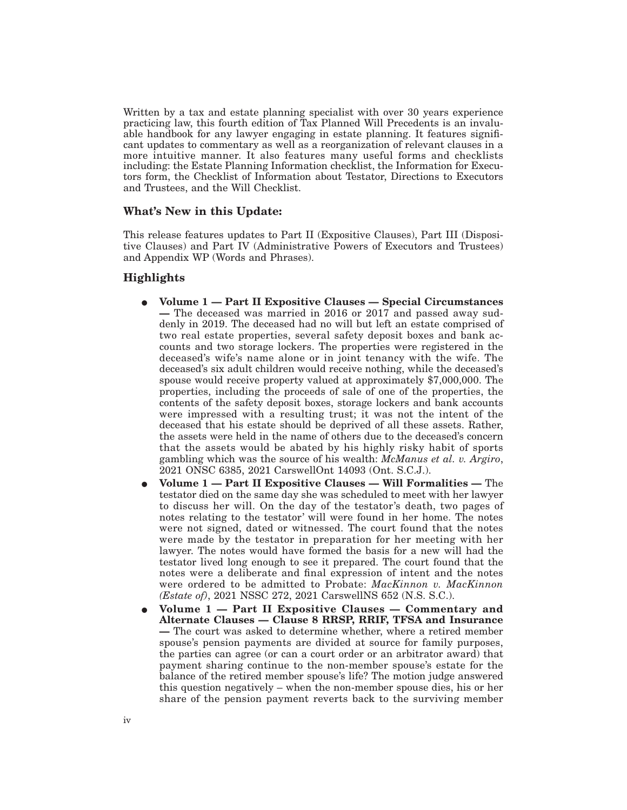Written by a tax and estate planning specialist with over 30 years experience practicing law, this fourth edition of Tax Planned Will Precedents is an invaluable handbook for any lawyer engaging in estate planning. It features significant updates to commentary as well as a reorganization of relevant clauses in a more intuitive manner. It also features many useful forms and checklists including: the Estate Planning Information checklist, the Information for Executors form, the Checklist of Information about Testator, Directions to Executors and Trustees, and the Will Checklist.

## **What's New in this Update:**

This release features updates to Part II (Expositive Clauses), Part III (Dispositive Clauses) and Part IV (Administrative Powers of Executors and Trustees) and Appendix WP (Words and Phrases).

## **Highlights**

- E **Volume 1 Part II Expositive Clauses Special Circumstances —** The deceased was married in 2016 or 2017 and passed away suddenly in 2019. The deceased had no will but left an estate comprised of two real estate properties, several safety deposit boxes and bank accounts and two storage lockers. The properties were registered in the deceased's wife's name alone or in joint tenancy with the wife. The deceased's six adult children would receive nothing, while the deceased's spouse would receive property valued at approximately \$7,000,000. The properties, including the proceeds of sale of one of the properties, the contents of the safety deposit boxes, storage lockers and bank accounts were impressed with a resulting trust; it was not the intent of the deceased that his estate should be deprived of all these assets. Rather, the assets were held in the name of others due to the deceased's concern that the assets would be abated by his highly risky habit of sports gambling which was the source of his wealth: *McManus et al. v. Argiro*, 2021 ONSC 6385, 2021 CarswellOnt 14093 (Ont. S.C.J.).
- E **Volume 1 Part II Expositive Clauses Will Formalities —** The testator died on the same day she was scheduled to meet with her lawyer to discuss her will. On the day of the testator's death, two pages of notes relating to the testator' will were found in her home. The notes were not signed, dated or witnessed. The court found that the notes were made by the testator in preparation for her meeting with her lawyer. The notes would have formed the basis for a new will had the testator lived long enough to see it prepared. The court found that the notes were a deliberate and final expression of intent and the notes were ordered to be admitted to Probate: *MacKinnon v. MacKinnon (Estate of)*, 2021 NSSC 272, 2021 CarswellNS 652 (N.S. S.C.).
- E **Volume 1 Part II Expositive Clauses Commentary and Alternate Clauses — Clause 8 RRSP, RRIF, TFSA and Insurance —** The court was asked to determine whether, where a retired member spouse's pension payments are divided at source for family purposes, the parties can agree (or can a court order or an arbitrator award) that payment sharing continue to the non-member spouse's estate for the balance of the retired member spouse's life? The motion judge answered this question negatively – when the non-member spouse dies, his or her share of the pension payment reverts back to the surviving member